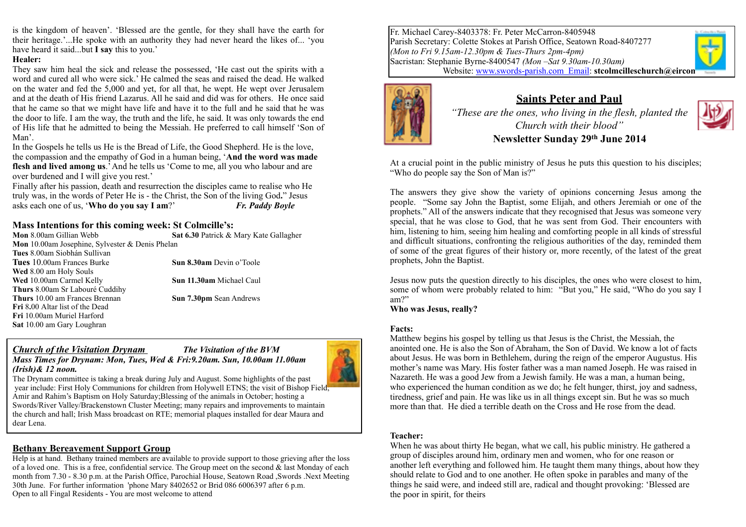is the kingdom of heaven'. 'Blessed are the gentle, for they shall have the earth for their heritage.'...He spoke with an authority they had never heard the likes of... 'you have heard it said...but **I say** this to you.'

#### **Healer:**

They saw him heal the sick and release the possessed, 'He cast out the spirits with a word and cured all who were sick.' He calmed the seas and raised the dead. He walked on the water and fed the 5,000 and yet, for all that, he wept. He wept over Jerusalem and at the death of His friend Lazarus. All he said and did was for others. He once said that he came so that we might have life and have it to the full and he said that he was the door to life. I am the way, the truth and the life, he said. It was only towards the end of His life that he admitted to being the Messiah. He preferred to call himself 'Son of Man'.

In the Gospels he tells us He is the Bread of Life, the Good Shepherd. He is the love, the compassion and the empathy of God in a human being, '**And the word was made flesh and lived among us**.' And he tells us 'Come to me, all you who labour and are over burdened and I will give you rest.'

Finally after his passion, death and resurrection the disciples came to realise who He truly was, in the words of Peter He is - the Christ, the Son of the living God**.**" Jesus asks each one of us, '**Who do you say I am**?' *Fr. Paddy Boyle*

### **Mass Intentions for this coming week: St Colmcille's:**

**Mon** 8.00am Gillian Webb **Sat 6.30** Patrick & Mary Kate Gallagher **Mon** 10.00am Josephine, Sylvester & Denis Phelan **Tues** 8.00am Siobhán Sullivan **Tues** 10.00am Frances Burke **Sun 8.30am** Devin o'Toole **Wed** 8.00 am Holy Souls **Wed** 10.00am Carmel Kelly **Sun 11.30am** Michael Caul **Thurs** 8.00am Sr Labouré Cuddihy **Thurs** 10.00 am Frances Brennan **Sun 7.30pm** Sean Andrews **Fri** 8**.**00 Altar list of the Dead **Fri** 10.00am Muriel Harford **Sat** 10.00 am Gary Loughran

#### *Church of the Visitation Drynam The Visitation of the BVM*



*Mass Times for Drynam: Mon, Tues, Wed & Fri:9.20am. Sun, 10.00am 11.00am (Irish)& 12 noon.* 

The Drynam committee is taking a break during July and August. Some highlights of the past year include: First Holy Communions for children from Holywell ETNS; the visit of Bishop Field; Amir and Rahim's Baptism on Holy Saturday;Blessing of the animals in October; hosting a Swords/River Valley/Brackenstown Cluster Meeting; many repairs and improvements to maintain the church and hall; Irish Mass broadcast on RTE; memorial plaques installed for dear Maura and dear Lena.

### **Bethany Bereavement Support Group**

Help is at hand. Bethany trained members are available to provide support to those grieving after the loss of a loved one. This is a free, confidential service. The Group meet on the second  $\&$  last Monday of each month from 7.30 - 8.30 p.m. at the Parish Office, Parochial House, Seatown Road ,Swords .Next Meeting 30th June. For further information 'phone Mary 8402652 or Brid 086 6006397 after 6 p.m. Open to all Fingal Residents - You are most welcome to attend

Fr. Michael Carey-8403378: Fr. Peter McCarron-8405948 Parish Secretary: Colette Stokes at Parish Office, Seatown Road-8407277 *(Mon to Fri 9.15am-12.30pm & Tues-Thurs 2pm-4pm)* Sacristan: Stephanie Byrne-8400547 *(Mon –Sat 9.30am-10.30am)* Website: [www.swords-parish.com Email](http://www.swords-parish.com%20%20email): **stcolmcilleschurch@eircon** 



## **Saints Peter and Paul**

*"These are the ones, who living in the flesh, planted the Church with their blood"* 



# **Newsletter Sunday 29th June 2014**

At a crucial point in the public ministry of Jesus he puts this question to his disciples; "Who do people say the Son of Man is?"

The answers they give show the variety of opinions concerning Jesus among the people. "Some say John the Baptist, some Elijah, and others Jeremiah or one of the prophets." All of the answers indicate that they recognised that Jesus was someone very special, that he was close to God, that he was sent from God. Their encounters with him, listening to him, seeing him healing and comforting people in all kinds of stressful and difficult situations, confronting the religious authorities of the day, reminded them of some of the great figures of their history or, more recently, of the latest of the great prophets, John the Baptist.

Jesus now puts the question directly to his disciples, the ones who were closest to him, some of whom were probably related to him: "But you," He said, "Who do you say I am?"

**Who was Jesus, really?** 

#### **Facts:**

Matthew begins his gospel by telling us that Jesus is the Christ, the Messiah, the anointed one. He is also the Son of Abraham, the Son of David. We know a lot of facts about Jesus. He was born in Bethlehem, during the reign of the emperor Augustus. His mother's name was Mary. His foster father was a man named Joseph. He was raised in Nazareth. He was a good Jew from a Jewish family. He was a man, a human being, who experienced the human condition as we do; he felt hunger, thirst, joy and sadness, tiredness, grief and pain. He was like us in all things except sin. But he was so much more than that. He died a terrible death on the Cross and He rose from the dead.

### **Teacher:**

When he was about thirty He began, what we call, his public ministry. He gathered a group of disciples around him, ordinary men and women, who for one reason or another left everything and followed him. He taught them many things, about how they should relate to God and to one another. He often spoke in parables and many of the things he said were, and indeed still are, radical and thought provoking: 'Blessed are the poor in spirit, for theirs